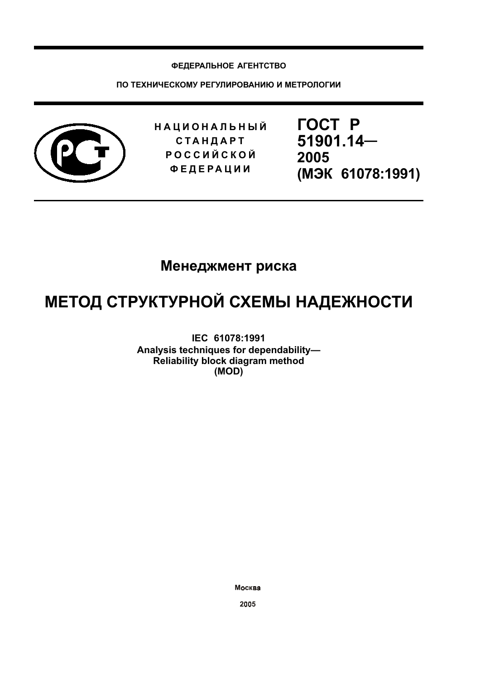## ФЕДЕРАЛЬНОЕ АГЕНТСТВО

ПО ТЕХНИЧЕСКОМУ РЕГУЛИРОВАНИЮ И МЕТРОЛОГИИ



**НАЦИОНАЛЬНЫЙ СТАНДАРТ РОССИЙСКОЙ ФЕДЕРАЦИИ** 

**FOCT P** 51901.14-2005 (M<sub>H</sub> 61078:1991)

## Менеджмент риска

# МЕТОД СТРУКТУРНОЙ СХЕМЫ НАДЕЖНОСТИ

IEC 61078:1991 Analysis techniques for dependability-Reliability block diagram method (MOD)

Москва

2005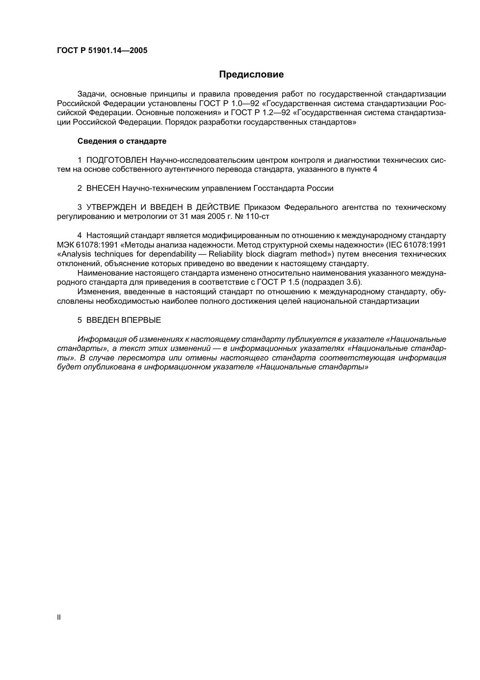## Предисловие

Задачи, основные принципы и правила проведения работ по государственной стандартизации Российской Федерации установлены ГОСТ Р 1.0—92 «Государственная система стандартизации Российской Федерации. Основные положения» и ГОСТ Р 1.2-92 «Государственная система стандартизации Российской Федерации. Порядок разработки государственных стандартов»

#### Сведения о стандарте

1 ПОДГОТОВЛЕН Научно-исследовательским центром контроля и диагностики технических систем на основе собственного аутентичного перевода стандарта, указанного в пункте 4

2 ВНЕСЕН Научно-техническим управлением Госстандарта России

3 УТВЕРЖДЕН И ВВЕДЕН В ДЕЙСТВИЕ Приказом Федерального агентства по техническому регулированию и метрологии от 31 мая 2005 г. № 110-ст

4 Настоящий стандарт является модифицированным по отношению к международному стандарту МЭК 61078:1991 «Методы анализа надежности. Метод структурной схемы надежности» (IEC 61078:1991 «Analysis techniques for dependability - Reliability block diagram method») путем внесения технических отклонений, объяснение которых приведено во введении к настоящему стандарту.

Наименование настоящего стандарта изменено относительно наименования указанного международного стандарта для приведения в соответствие с ГОСТ Р 1.5 (подраздел 3.6).

Изменения, введенные в настоящий стандарт по отношению к международному стандарту, обусловлены необходимостью наиболее полного достижения целей национальной стандартизации

### 5 ВВЕДЕН ВПЕРВЫЕ

Информация об изменениях к настоящему стандарту публикуется в указателе «Национальные стандарты», а текст этих изменений — в информационных указателях «Национальные стандарты». В случае пересмотра или отмены настоящего стандарта соответствующая информация будет опубликована в информационном указателе «Национальные стандарты»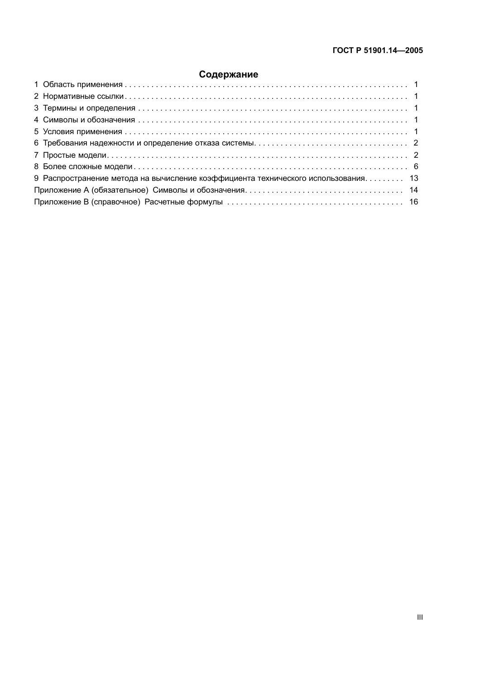## Содержание

| 9 Распространение метода на вычисление коэффициента технического использования 13 |  |
|-----------------------------------------------------------------------------------|--|
|                                                                                   |  |
|                                                                                   |  |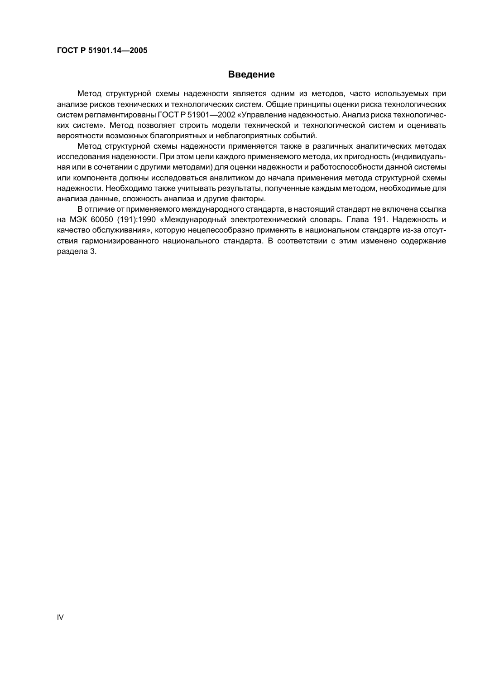## Введение

Метод структурной схемы надежности является одним из методов, часто используемых при анализе рисков технических и технологических систем. Общие принципы оценки риска технологических систем регламентированы ГОСТ Р 51901-2002 «Управление надежностью. Анализ риска технологических систем». Метод позволяет строить модели технической и технологической систем и оценивать вероятности возможных благоприятных и неблагоприятных событий.

Метод структурной схемы надежности применяется также в различных аналитических методах исследования надежности. При этом цели каждого применяемого метода, их пригодность (индивидуальная или в сочетании с другими методами) для оценки надежности и работоспособности данной системы или компонента должны исследоваться аналитиком до начала применения метода структурной схемы надежности. Необходимо также учитывать результаты, полученные каждым методом, необходимые для анализа данные, сложность анализа и другие факторы.

В отличие от применяемого международного стандарта, в настоящий стандарт не включена ссылка на МЭК 60050 (191):1990 «Международный электротехнический словарь. Глава 191, Надежность и качество обслуживания», которую нецелесообразно применять в национальном стандарте из-за отсутствия гармонизированного национального стандарта. В соответствии с этим изменено содержание раздела 3.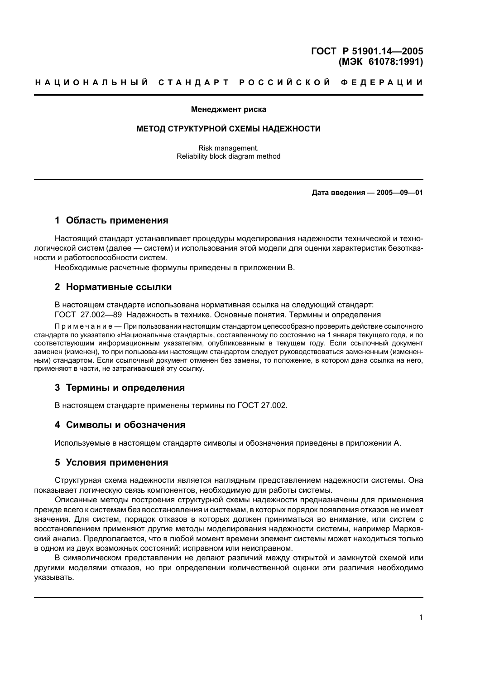## FOCT P 51901.14-2005 (M<sub>3</sub>K 61078:1991)

#### Менеджмент риска

## МЕТОД СТРУКТУРНОЙ СХЕМЫ НАДЕЖНОСТИ

Risk management. Reliability block diagram method

## Дата введения - 2005-09-01

## 1 Область применения

Настоящий стандарт устанавливает процедуры моделирования надежности технической и технологической систем (далее — систем) и использования этой модели для оценки характеристик безотказности и работоспособности систем.

Необходимые расчетные формулы приведены в приложении В.

#### 2 Нормативные ссылки

В настоящем стандарте использована нормативная ссылка на следующий стандарт: ГОСТ 27.002-89 Надежность в технике. Основные понятия. Термины и определения

Примечание — Припользовании настоящим стандартом целесообразно проверить действие ссылочного стандарта по указателю «Национальные стандарты», составленному по состоянию на 1 января текущего года, и по соответствующим информационным указателям, опубликованным в текущем году. Если ссылочный документ заменен (изменен), то при пользовании настоящим стандартом следует руководствоваться замененным (измененным) стандартом. Если ссылочный документ отменен без замены, то положение, в котором дана ссылка на него, применяют в части, не затрагивающей эту ссылку.

## 3 Термины и определения

В настоящем стандарте применены термины по ГОСТ 27.002.

## 4 Символы и обозначения

Используемые в настоящем стандарте символы и обозначения приведены в приложении А.

#### 5 Условия применения

Структурная схема надежности является наглядным представлением надежности системы. Она показывает логическую связь компонентов, необходимую для работы системы.

Описанные методы построения структурной схемы надежности предназначены для применения прежде всего к системам без восстановления и системам, в которых порядок появления отказов не имеет значения. Для систем, порядок отказов в которых должен приниматься во внимание, или систем с восстановлением применяют другие методы моделирования надежности системы, например Марковский анализ. Предполагается, что в любой момент времени элемент системы может находиться только в одном из двух возможных состояний: исправном или неисправном.

В символическом представлении не делают различий между открытой и замкнутой схемой или другими моделями отказов, но при определении количественной оценки эти различия необходимо указывать.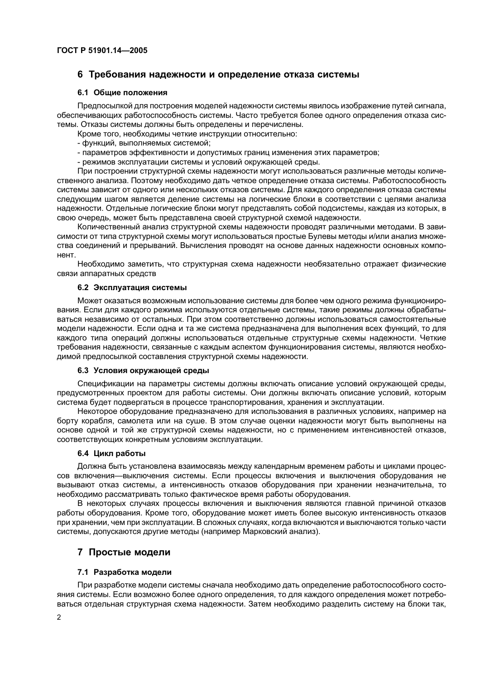## 6 Требования надежности и определение отказа системы

## 6.1 Общие положения

Предпосылкой для построения моделей надежности системы явилось изображение путей сигнала, обеспечивающих работоспособность системы. Часто требуется более одного определения отказа системы. Отказы системы должны быть определены и перечислены.

Кроме того, необходимы четкие инструкции относительно:

- функций, выполняемых системой;
- параметров эффективности и допустимых границ изменения этих параметров;
- режимов эксплуатации системы и условий окружающей среды.

При построении структурной схемы надежности могут использоваться различные методы количественного анализа. Поэтому необходимо дать четкое определение отказа системы. Работоспособность системы зависит от одного или нескольких отказов системы. Для каждого определения отказа системы следующим шагом является деление системы на логические блоки в соответствии с целями анализа надежности. Отдельные логические блоки могут представлять собой подсистемы, каждая из которых, в свою очередь, может быть представлена своей структурной схемой надежности.

Количественный анализ структурной схемы надежности проводят различными методами. В зависимости от типа структурной схемы могут использоваться простые Булевы методы и/или анализ множества соединений и прерываний. Вычисления проводят на основе данных надежности основных компонент

Необходимо заметить, что структурная схема надежности необязательно отражает физические связи аппаратных средств

## 6.2 Эксплуатация системы

Может оказаться возможным использование системы для более чем одного режима функционирования. Если для каждого режима используются отдельные системы, такие режимы должны обрабатываться независимо от остальных. При этом соответственно должны использоваться самостоятельные модели надежности. Если одна и та же система предназначена для выполнения всех функций, то для каждого типа операций должны использоваться отдельные структурные схемы надежности. Четкие требования надежности, связанные с каждым аспектом функционирования системы, являются необходимой предпосылкой составления структурной схемы надежности.

## 6.3 Условия окружающей среды

Спецификации на параметры системы должны включать описание условий окружающей среды, предусмотренных проектом для работы системы. Они должны включать описание условий, которым система будет подвергаться в процессе транспортирования, хранения и эксплуатации.

Некоторое оборудование предназначено для использования в различных условиях, например на борту корабля, самолета или на суше. В этом случае оценки надежности могут быть выполнены на основе одной и той же структурной схемы надежности, но с применением интенсивностей отказов, соответствующих конкретным условиям эксплуатации.

## 6.4 Цикл работы

Должна быть установлена взаимосвязь между календарным временем работы и циклами процессов включения—выключения системы. Если процессы включения и выключения оборудования не вызывают отказ системы, а интенсивность отказов оборудования при хранении незначительна, то необходимо рассматривать только фактическое время работы оборудования.

В некоторых случаях процессы включения и выключения являются главной причиной отказов работы оборудования. Кроме того, оборудование может иметь более высокую интенсивность отказов при хранении, чем при эксплуатации. В сложных случаях, когда включаются и выключаются только части системы, допускаются другие методы (например Марковский анализ).

## 7 Простые модели

## 7.1 Разработка модели

При разработке модели системы сначала необходимо дать определение работоспособного состояния системы. Если возможно более одного определения, то для каждого определения может потребоваться отдельная структурная схема надежности. Затем необходимо разделить систему на блоки так,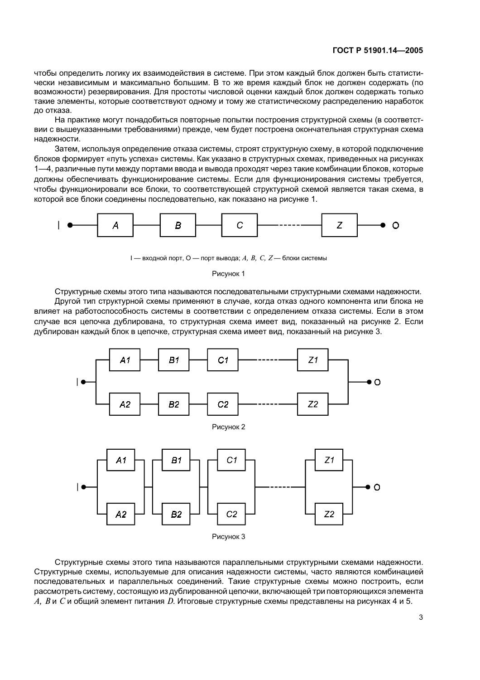чтобы определить логику их взаимодействия в системе. При этом каждый блок должен быть статистически независимым и максимально большим. В то же время каждый блок не должен содержать (по возможности) резервирования. Для простоты числовой оценки каждый блок должен содержать только такие элементы, которые соответствуют одному и тому же статистическому распределению наработок до отказа.

На практике могут понадобиться повторные попытки построения структурной схемы (в соответствии с вышеуказанными требованиями) прежде, чем будет построена окончательная структурная схема належности.

Затем, используя определение отказа системы, строят структурную схему, в которой подключение блоков формирует «путь успеха» системы. Как указано в структурных схемах, приведенных на рисунках 1-4, различные пути между портами ввода и вывода проходят через такие комбинации блоков, которые должны обеспечивать функционирование системы. Если для функционирования системы требуется, чтобы функционировали все блоки, то соответствующей структурной схемой является такая схема, в которой все блоки соединены последовательно, как показано на рисунке 1.



I — входной порт, О — порт вывода; А, В, С, Z — блоки системы

#### Рисунок 1

Структурные схемы этого типа называются последовательными структурными схемами надежности.

Другой тип структурной схемы применяют в случае, когда отказ одного компонента или блока не влияет на работоспособность системы в соответствии с определением отказа системы. Если в этом случае вся цепочка дублирована, то структурная схема имеет вид, показанный на рисунке 2. Если дублирован каждый блок в цепочке, структурная схема имеет вид, показанный на рисунке 3.



Структурные схемы этого типа называются параллельными структурными схемами надежности. Структурные схемы, используемые для описания надежности системы, часто являются комбинацией последовательных и параллельных соединений. Такие структурные схемы можно построить, если рассмотреть систему, состоящую из дублированной цепочки, включающей три повторяющихся элемента А, В и С и общий элемент питания D. Итоговые структурные схемы представлены на рисунках 4 и 5.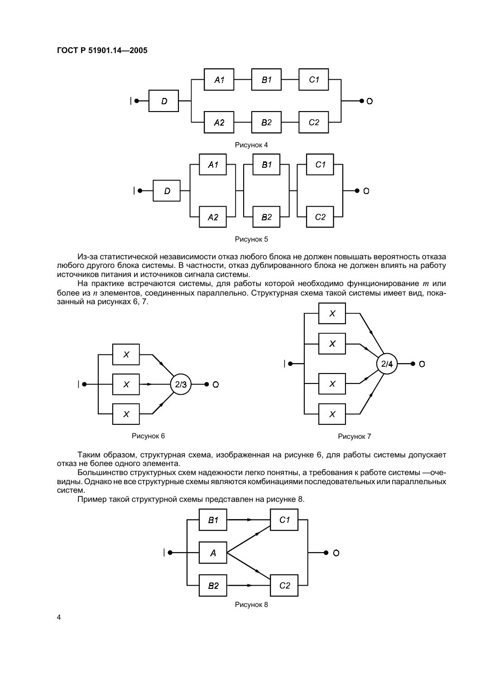

Из-за статистической независимости отказ любого блока не должен повышать вероятность отказа любого другого блока системы. В частности, отказ дублированного блока не должен влиять на работу источников питания и источников сигнала системы.

На практике встречаются системы, для работы которой необходимо функционирование т или более из и элементов, соединенных параллельно. Структурная схема такой системы имеет вид, показанный на рисунках 6, 7.









Таким образом, структурная схема, изображенная на рисунке 6, для работы системы допускает отказ не более одного элемента.

Большинство структурных схем надежности легко понятны, а требования к работе системы - очевидны. Однако не все структурные схемы являются комбинациями последовательных или параллельных систем.

Пример такой структурной схемы представлен на рисунке 8.

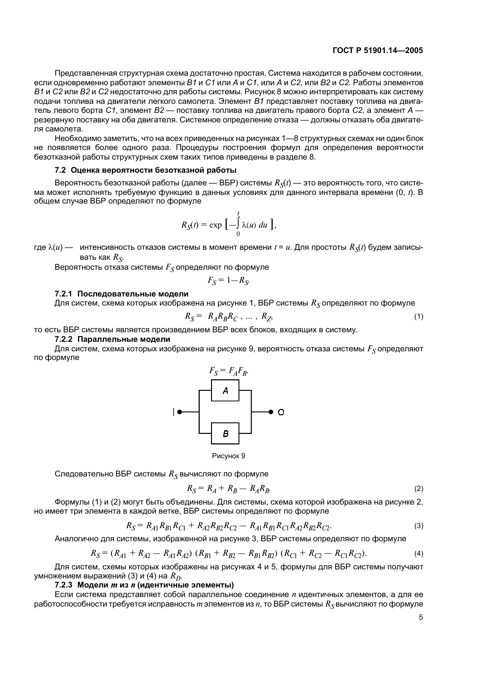Представленная структурная схема достаточно простая. Система находится в рабочем состоянии, если одновременно работают элементы В1 и С1 или А и С1, или А и С2, или В2 и С2. Работы элементов В1 и С2 или В2 и С2 недостаточно для работы системы. Рисунок 8 можно интерпретировать как систему подачи топлива на двигатели легкого самолета. Элемент В1 представляет поставку топлива на двигатель левого борта С1, элемент В2 — поставку топлива на двигатель правого борта С2, а элемент А резервную поставку на оба двигателя. Системное определение отказа — должны отказать оба двигателя самолета.

Необходимо заметить, что на всех приведенных на рисунках 1—8 структурных схемах ни один блок не появляется более одного раза. Процедуры построения формул для определения вероятности безотказной работы структурных схем таких типов приведены в разделе 8.

## 7.2 Оценка вероятности безотказной работы

Вероятность безотказной работы (далее - ВБР) системы  $R_{\rm N}(t)$  - это вероятность того, что система может исполнять требуемую функцию в данных условиях для данного интервала времени (0, t). В общем случае ВБР определяют по формуле

$$
R_{\mathcal{S}}(t) = \exp\left[-\int_{0}^{t} \lambda(u) \ du\right],
$$

где  $\lambda(u)$  — интенсивность отказов системы в момент времени  $t = u$ . Для простоты  $R_{\rm S}(t)$  будем записывать как  $R_{\rm S}$ .

Вероятность отказа системы  $F_S$  определяют по формуле

$$
F_{\rm S} = 1 - R_{\rm S}
$$

#### 7.2.1 Последовательные модели

Для систем, схема которых изображена на рисунке 1, ВБР системы  $R_S$ определяют по формуле

$$
R_S = R_A R_B R_C, \dots, R_Z,
$$
\n<sup>(1)</sup>

то есть ВБР системы является произведением ВБР всех блоков, входящих в систему.

7.2.2 Параллельные модели

Для систем, схема которых изображена на рисунке 9, вероятность отказа системы  $F_S$ определяют по формуле



Рисунок 9

Следовательно ВБР системы  $R_S$  вычисляют по формуле

$$
R_S = R_A + R_B - R_A R_B. \tag{2}
$$

Формулы (1) и (2) могут быть объединены. Для системы, схема которой изображена на рисунке 2, но имеет три элемента в каждой ветке, ВБР системы определяют по формуле

$$
R_S = R_{A1}R_{B1}R_{C1} + R_{A2}R_{B2}R_{C2} - R_{A1}R_{B1}R_{C1}R_{A2}R_{B2}R_{C2}.
$$
\n(3)

Аналогично для системы, изображенной на рисунке 3, ВБР системы определяют по формуле

$$
R_S = (R_{A1} + R_{A2} - R_{A1}R_{A2}) (R_{B1} + R_{B2} - R_{B1}R_{B2}) (R_{C1} + R_{C2} - R_{C1}R_{C2}).
$$
\n(4)

Для систем, схемы которых изображены на рисунках 4 и 5, формулы для ВБР системы получают умножением выражений (3) и (4) на  $R_D$ .

## 7.2.3 Модели т из п (идентичные элементы)

Если система представляет собой параллельное соединение и идентичных элементов, а для ее работоспособности требуется исправность *m* элементов из *n*, то BБР системы  $R_S$ вычисляют по формуле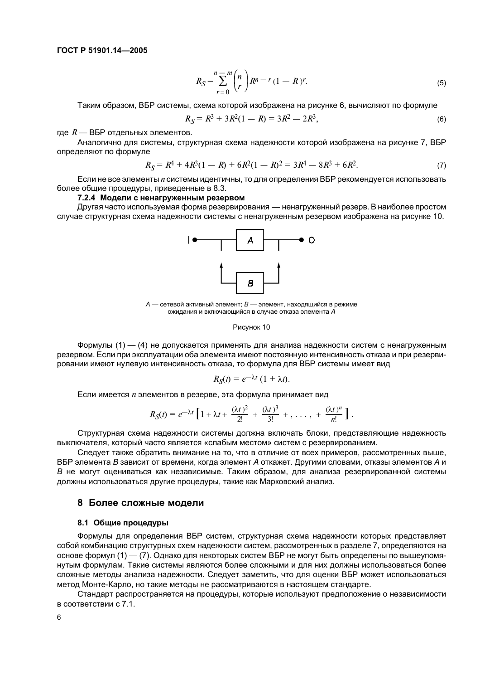$$
R_S = \sum_{r=0}^{n} {n \choose r} R^{n-r} (1 - R)^r.
$$
 (5)

Таким образом. ВБР системы, схема которой изображена на рисунке 6, вычисляют по формуле

$$
R_S = R^3 + 3R^2(1 - R) = 3R^2 - 2R^3,
$$
\n(6)

где  $R$  — ВБР отдельных элементов.

Аналогично для системы, структурная схема надежности которой изображена на рисунке 7, ВБР определяют по формуле

$$
R_S = R^4 + 4R^3(1 - R) + 6R^2(1 - R)^2 = 3R^4 - 8R^3 + 6R^2.
$$
 (7)

Если не все элементы и системы идентичны, то для определения ВБР рекомендуется использовать более общие процедуры, приведенные в 8.3.

#### 7.2.4 Модели с ненагруженным резервом

Другая часто используемая форма резервирования — ненагруженный резерв. В наиболее простом случае структурная схема надежности системы с ненагруженным резервом изображена на рисунке 10.



 $A$  — сетевой активный элемент:  $B$  — элемент, находящийся в режиме ожидания и включающийся в случае отказа элемента А

#### Рисунок 10

Формулы (1) - (4) не допускается применять для анализа надежности систем с ненагруженным резервом. Если при эксплуатации оба элемента имеют постоянную интенсивность отказа и при резервировании имеют нулевую интенсивность отказа, то формула для ВБР системы имеет вид

$$
R_{\rm S}(t) = e^{-\lambda t} (1 + \lambda t)
$$

Если имеется и элементов в резерве, эта формула принимает вид

$$
R_{\mathcal{S}}(t) = e^{-\lambda t} \left[ 1 + \lambda t + \frac{(\lambda t)^2}{2!} + \frac{(\lambda t)^3}{3!} + \ldots + \frac{(\lambda t)^n}{n!} \right].
$$

Структурная схема надежности системы должна включать блоки, представляющие надежность выключателя, который часто является «слабым местом» систем с резервированием.

Следует также обратить внимание на то, что в отличие от всех примеров, рассмотренных выше, ВБР элемента В зависит от времени, когда элемент А откажет. Другими словами, отказы элементов А и В не могут оцениваться как независимые. Таким образом, для анализа резервированной системы должны использоваться другие процедуры, такие как Марковский анализ.

## 8 Более сложные модели

#### 8.1 Общие процедуры

Формулы для определения ВБР систем, структурная схема надежности которых представляет собой комбинацию структурных схем надежности систем, рассмотренных в разделе 7, определяются на основе формул (1) — (7). Однако для некоторых систем ВБР не могут быть определены по вышеупомянутым формулам. Такие системы являются более сложными и для них должны использоваться более сложные методы анализа надежности. Следует заметить, что для оценки ВБР может использоваться метод Монте-Карло, но такие методы не рассматриваются в настоящем стандарте.

Стандарт распространяется на процедуры, которые используют предположение о независимости в соответствии с 7.1.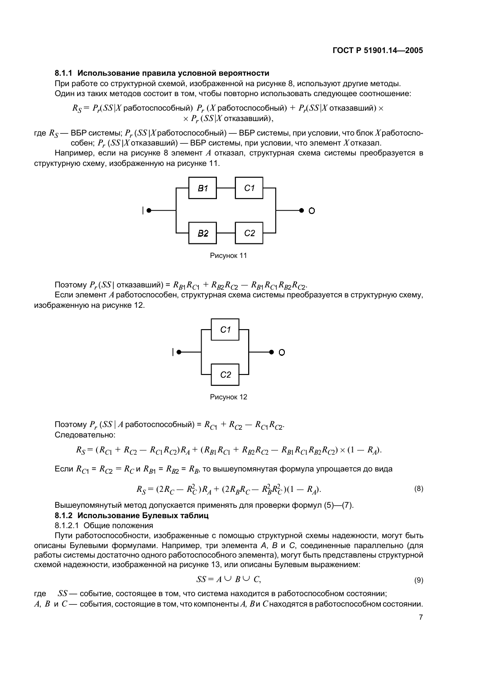## 8.1.1 Использование правила условной вероятности

При работе со структурной схемой, изображенной на рисунке 8, используют другие методы. Один из таких методов состоит в том, чтобы повторно использовать следующее соотношение:

 $R_S = P_r(SS|X)$ работоспособный)  $P_r(X)$ работоспособный) +  $P_r(SS|X)$ отказавший)  $\times$  $\times P_r$  (SS |X отказавший),

где  $R_S$  — ВБР системы;  $P_r$  (SS | X работоспособный) — ВБР системы, при условии, что блок X работоспособен;  $P_r$  (SS | X отказавший) — ВБР системы, при условии, что элемент Х отказал.

Например, если на рисунке 8 элемент А отказал, структурная схема системы преобразуется в структурную схему, изображенную на рисунке 11.



Поэтому  $P_r(SS|$  отказавший) =  $R_{B1}R_{C1} + R_{B2}R_{C2} - R_{B1}R_{C1}R_{B2}R_{C2}$ .

Если элемент А работоспособен, структурная схема системы преобразуется в структурную схему, изображенную на рисунке 12.



Рисунок 12

Поэтому  $P_r$  (SS | A работоспособный) =  $R_{C1} + R_{C2} - R_{C1}R_{C2}$ . Следовательно:

$$
R_S = (R_{C1} + R_{C2} - R_{C1}R_{C2})R_A + (R_{B1}R_{C1} + R_{B2}R_{C2} - R_{B1}R_{C1}R_{B2}R_{C2}) \times (1 - R_A).
$$

Если  $R_{C1}$  =  $R_{C2}$  =  $R_C$  и  $R_{B1}$  =  $R_{B2}$  =  $R_B$ , то вышеупомянутая формула упрощается до вида

$$
R_S = (2R_C - R_C^2)R_A + (2R_B R_C - R_B^2 R_C^2)(1 - R_A). \tag{8}
$$

Вышеупомянутый метод допускается применять для проверки формул (5)-(7).

#### 8.1.2 Использование Булевых таблиц

8.1.2.1 Общие положения

Пути работоспособности, изображенные с помощью структурной схемы надежности, могут быть описаны Булевыми формулами. Например, три элемента А, В и С, соединенные параллельно (для работы системы достаточно одного работоспособного элемента), могут быть представлены структурной схемой надежности, изображенной на рисунке 13, или описаны Булевым выражением:

$$
SS = A \cup B \cup C,\tag{9}
$$

где SS - событие, состоящее в том, что система находится в работоспособном состоянии;

 $A, B$  и  $C$  — события, состоящие в том, что компоненты  $A, B$  и  $C$  находятся в работоспособном состоянии.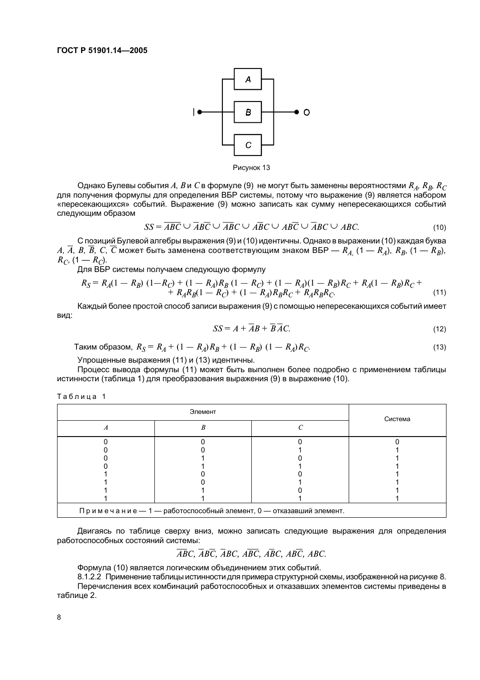

Рисунок 13

Однако Булевы события A, B и C в формуле (9) не могут быть заменены вероятностями  $R_A$ ,  $R_B$ ,  $R_C$ для получения формулы для определения ВБР системы, потому что выражение (9) является набором «пересекающихся» событий. Выражение (9) можно записать как сумму непересекающихся событий следующим образом

$$
SS = \overline{ABC} \cup \overline{ABC} \cup \overline{ABC} \cup \overline{ABC} \cup \overline{ABC} \cup \overline{ABC} \cup \overline{ABC} \tag{10}
$$

С позиций Булевой алгебры выражения (9) и (10) идентичны. Однако в выражении (10) каждая буква А,  $\overline{A}$ ,  $B$ ,  $\overline{B}$ ,  $C$ ,  $\overline{C}$  может быть заменена соответствующим знаком ВБР —  $R_{A}$  (1 —  $R_{A}$ ),  $R_{B}$ , (1 —  $R_{B}$ ),  $R_C$ ,  $(1 - R_C)$ .

Для ВБР системы получаем следующую формулу

$$
R_S = R_A(1 - R_B) (1 - R_C) + (1 - R_A)R_B (1 - R_C) + (1 - R_A)(1 - R_B)R_C + R_A(1 - R_B)R_C + R_A R_B R_C (1 - R_C) + (1 - R_A)R_B R_C + R_A R_B R_C.
$$
\n<sup>(11)</sup>

Каждый более простой способ записи выражения (9) с помощью непересекающихся событий имеет вил:

$$
SS = A + \overline{AB} + \overline{B}\overline{AC}.
$$
 (12)

Таким образом,  $R_S = R_A + (1 - R_A)R_B + (1 - R_B) (1 - R_A)R_C$ .  $(13)$ 

Упрощенные выражения (11) и (13) идентичны.

Процесс вывода формулы (11) может быть выполнен более подробно с применением таблицы истинности (таблица 1) для преобразования выражения (9) в выражение (10).

Таблица 1

| Элемент                                      |  |  | Система |  |
|----------------------------------------------|--|--|---------|--|
|                                              |  |  |         |  |
|                                              |  |  |         |  |
|                                              |  |  |         |  |
|                                              |  |  |         |  |
|                                              |  |  |         |  |
|                                              |  |  |         |  |
|                                              |  |  |         |  |
|                                              |  |  |         |  |
|                                              |  |  |         |  |
| $R^{\text{O}}$<br>$\Gamma$<br>$\overline{1}$ |  |  |         |  |

Примечание — 1 — работоспособный элемент, 0 — отказавший элемент.

Двигаясь по таблице сверху вниз, можно записать следующие выражения для определения работоспособных состояний системы:

 $\overline{ABC}$ ,  $\overline{ABC}$ ,  $\overline{ABC}$ ,  $\overline{ABC}$ ,  $\overline{ABC}$ ,  $\overline{ABC}$ ,  $\overline{ABC}$ ,  $\overline{ABC}$ ,

Формула (10) является логическим объединением этих событий.

8.1.2.2 Применение таблицы истинности для примера структурной схемы, изображенной на рисунке 8. Перечисления всех комбинаций работоспособных и отказавших элементов системы приведены в таблице 2.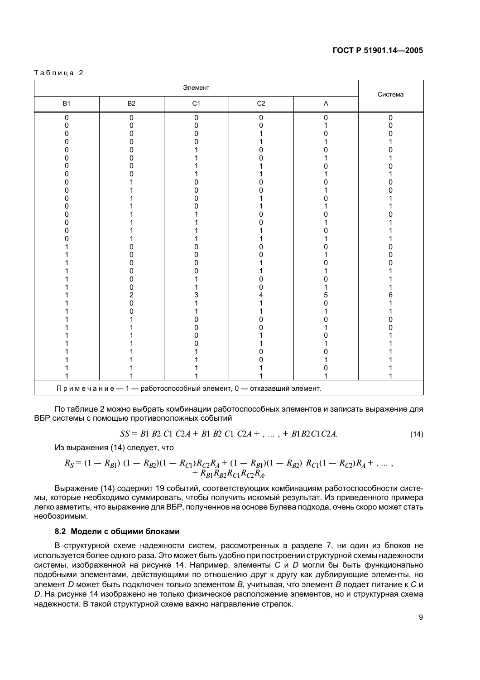#### Таблица 2

| Элемент                                                           |                |                |                  | Система     |                |
|-------------------------------------------------------------------|----------------|----------------|------------------|-------------|----------------|
| <b>B1</b>                                                         | B <sub>2</sub> | C1             | $\mbox{C2}$      | $\mathsf A$ |                |
| $\pmb{0}$<br>0                                                    | $\pmb{0}$<br>U | $\pmb{0}$<br>O | $\mathbf 0$<br>n | 0           | $\pmb{0}$<br>0 |
| Π                                                                 |                | n              |                  |             |                |
|                                                                   |                |                |                  |             |                |
|                                                                   |                |                |                  |             |                |
|                                                                   |                |                |                  |             |                |
|                                                                   |                |                |                  |             |                |
|                                                                   |                |                |                  |             |                |
|                                                                   |                |                |                  |             |                |
|                                                                   |                |                |                  |             |                |
|                                                                   |                |                |                  |             |                |
|                                                                   |                |                |                  |             |                |
|                                                                   |                |                |                  |             |                |
|                                                                   |                |                |                  |             |                |
|                                                                   |                |                |                  |             |                |
|                                                                   |                |                |                  |             |                |
|                                                                   |                |                |                  |             |                |
|                                                                   |                |                |                  |             |                |
|                                                                   |                |                |                  |             |                |
|                                                                   |                |                |                  |             |                |
|                                                                   |                |                |                  |             |                |
|                                                                   |                |                |                  |             |                |
|                                                                   | 2              |                |                  |             |                |
|                                                                   | n              |                |                  |             |                |
|                                                                   |                |                |                  |             |                |
|                                                                   |                |                |                  |             |                |
|                                                                   |                |                |                  |             |                |
|                                                                   |                |                |                  |             |                |
|                                                                   |                |                |                  |             |                |
|                                                                   |                |                |                  |             |                |
|                                                                   |                |                |                  |             |                |
|                                                                   |                |                |                  |             |                |
|                                                                   |                |                |                  |             |                |
| Примечание - 1 - работоспособный элемент, 0 - отказавший элемент. |                |                |                  |             |                |

По таблице 2 можно выбрать комбинации работоспособных элементов и записать выражение для ВБР системы с помощью противоположных событий

$$
SS = \overline{B1} \overline{B2} \overline{C1} \overline{C2}A + \overline{B1} \overline{B2} \overline{C1} \overline{C2}A + , \dots, + B1B2C1C2A. \tag{14}
$$

Из выражения (14) следует, что

$$
R_S = (1 - R_{B1})(1 - R_{B2})(1 - R_{C1})R_{C2}R_A + (1 - R_{B1})(1 - R_{B2})R_{C1}(1 - R_{C2})R_A + \dots, + R_{B1}R_{B2}R_{C1}R_{C2}R_A.
$$

Выражение (14) содержит 19 событий, соответствующих комбинациям работоспособности системы, которые необходимо суммировать, чтобы получить искомый результат. Из приведенного примера легко заметить, что выражение для ВБР, полученное на основе Булева подхода, очень скоро может стать необозримым.

## 8.2 Модели с общими блоками

В структурной схеме надежности систем, рассмотренных в разделе 7, ни один из блоков не используется более одного раза. Это может быть удобно при построении структурной схемы надежности системы, изображенной на рисунке 14. Например, элементы С и D могли бы быть функционально подобными элементами, действующими по отношению друг к другу как дублирующие элементы, но элемент D может быть подключен только элементом В, учитывая, что элемент В подает питание к С и D. На рисунке 14 изображено не только физическое расположение элементов, но и структурная схема надежности. В такой структурной схеме важно направление стрелок.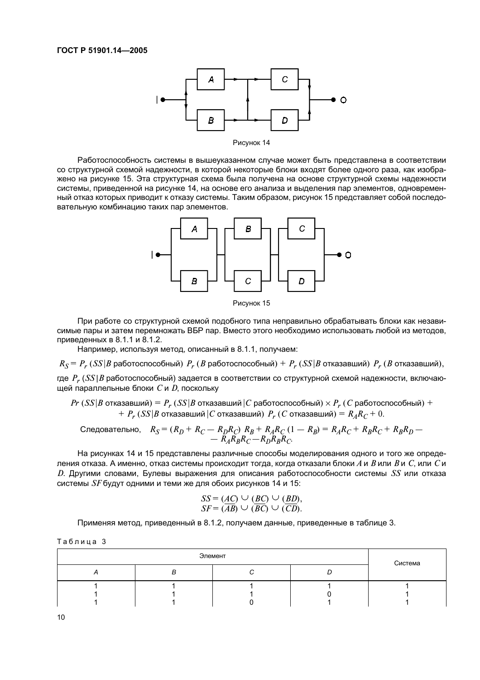



Работоспособность системы в вышеуказанном случае может быть представлена в соответствии со структурной схемой надежности, в которой некоторые блоки входят более одного раза, как изображено на рисунке 15. Эта структурная схема была получена на основе структурной схемы надежности системы, приведенной на рисунке 14, на основе его анализа и выделения пар элементов, одновременный отказ которых приводит к отказу системы. Таким образом, рисунок 15 представляет собой последовательную комбинацию таких пар элементов.





При работе со структурной схемой подобного типа неправильно обрабатывать блоки как независимые пары и затем перемножать ВБР пар. Вместо этого необходимо использовать любой из методов, приведенных в 8.1.1 и 8.1.2.

Например, используя метод, описанный в 8.1.1, получаем:

 $R_S = P_r$  (SS | В работоспособный)  $P_r$  (В работоспособный) +  $P_r$  (SS | В отказавший)  $P_r$  (В отказавший),

где  $P_r$  (SS | В работоспособный) задается в соответствии со структурной схемой надежности, включающей параллельные блоки  $C$  и  $D$ , поскольку

 $Pr(SS|B$  отказавший) =  $P_r(SS|B)$  отказавший |  $C$  работоспособный)  $\times P_r(C)$  работоспособный) +  $P_r$  (SS|B отказавший |C отказавший)  $P_r$  (C отказавший) =  $R_A R_C + 0$ .

Следовательно, 
$$
R_S = (R_D + R_C - R_D R_C) R_B + R_A R_C (1 - R_B) = R_A R_C + R_B R_C + R_B R_D -
$$
  
-  $R_A R_B R_C - R_D R_B R_C$ .

На рисунках 14 и 15 представлены различные способы моделирования одного и того же определения отказа. А именно, отказ системы происходит тогда, когда отказали блоки А и В или В и С, или С и D. Другими словами. Булевы выражения для описания работоспособности системы SS или отказа системы  $SF$  будут одними и теми же для обоих рисунков 14 и 15:

$$
SS = (AC) \cup (BC) \cup (BD),
$$
  
 
$$
SF = (AB) \cup (BC) \cup (CD).
$$

Применяя метод, приведенный в 8.1.2, получаем данные, приведенные в таблице 3.

|  |  |  |  |  | Таблица 3 |  |
|--|--|--|--|--|-----------|--|
|--|--|--|--|--|-----------|--|

| Элемент |  |  |  | Система |
|---------|--|--|--|---------|
|         |  |  |  |         |
|         |  |  |  |         |
|         |  |  |  |         |
|         |  |  |  |         |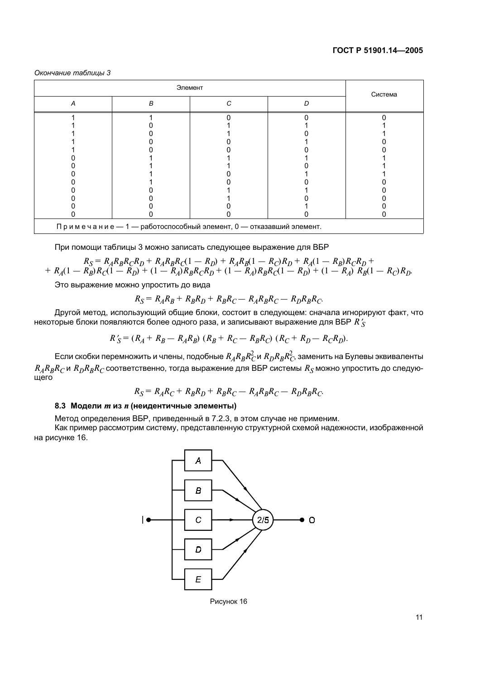Окончание таблицы 3

| Система | Элемент |  |   |   |
|---------|---------|--|---|---|
|         |         |  | B | А |
|         |         |  |   |   |
|         |         |  |   |   |
|         |         |  |   |   |
|         |         |  |   |   |
|         |         |  |   |   |
|         |         |  |   |   |
|         |         |  |   |   |
|         |         |  |   |   |
|         |         |  |   |   |
|         |         |  |   |   |
|         |         |  |   |   |
|         |         |  |   |   |
|         |         |  |   |   |

При помощи таблицы 3 можно записать следующее выражение для ВБР

$$
K_S = R_A R_B R_C R_D + R_A R_B R_C (1 - R_D) + R_A R_B (1 - R_C) R_D + R_A (1 - R_B) R_C R_D + R_A (1 - R_B) R_C R_D + R_A (1 - R_B) R_C (1 - R_D) + (1 - R_A) R_B R_C R_D + (1 - R_A) R_B R_C (1 - R_D) + (1 - R_A) R_B (1 - R_C) R_D
$$

Это выражение можно упростить до вида

$$
R_S = R_A R_B + R_B R_D + R_B R_C - R_A R_B R_C - R_D R_B R_C.
$$

Другой метод, использующий общие блоки, состоит в следующем: сначала игнорируют факт, что некоторые блоки появляются более одного раза, и записывают выражение для ВБР  $R'_{S}$ 

$$
R_S' = (R_A + R_B - R_A R_B) (R_B + R_C - R_B R_C) (R_C + R_D - R_C R_D).
$$

Если скобки перемножить и члены, подобные  $R_A R_B R_C^2$ и  $R_D R_B R_C^2$ , заменить на Булевы эквиваленты  $R_{A}R_{B}R_{C}$  и  $R_{D}R_{B}R_{C}$  соответственно, тогда выражение для ВБР системы  $R_{S}$  можно упростить до следующего

$$
R_S = R_A R_C + R_B R_D + R_B R_C - R_A R_B R_C - R_D R_B R_C.
$$

## 8.3 Модели *т* из *п* (неидентичные элементы)

Метод определения ВБР, приведенный в 7.2.3, в этом случае не применим.

Как пример рассмотрим систему, представленную структурной схемой надежности, изображенной на рисунке 16.



 $11$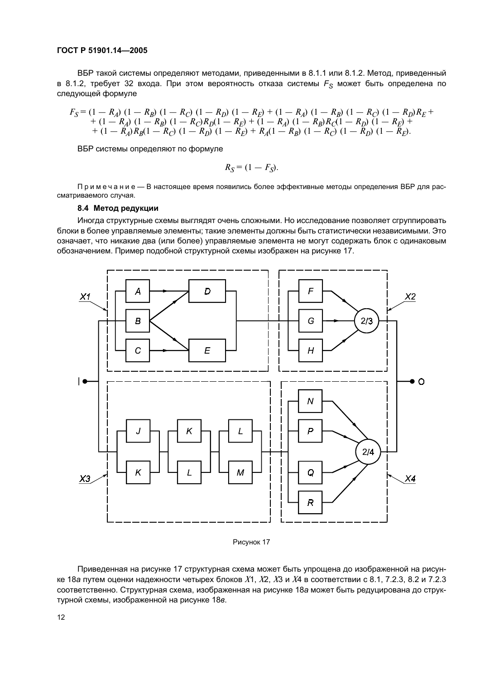## FOCT P 51901.14-2005

ВБР такой системы определяют методами, приведенными в 8.1.1 или 8.1.2. Метод, приведенный в 8.1.2, требует 32 входа. При этом вероятность отказа системы  $F_s$  может быть определена по следующей формуле

$$
F_S = (1 - R_A) (1 - R_B) (1 - R_C) (1 - R_D) (1 - R_E) + (1 - R_A) (1 - R_B) (1 - R_C) (1 - R_D) R_E + (1 - R_A) (1 - R_B) (1 - R_C) R_D (1 - R_E) + (1 - R_A) (1 - R_B) R_C (1 - R_D) (1 - R_E) + (1 - R_A) R_B (1 - R_C) (1 - R_D) (1 - R_E) + R_A (1 - R_B) (1 - R_C) (1 - R_E).
$$

ВБР системы определяют по формуле

$$
R_{\rm S} = (1 - F_{\rm S}).
$$

Примечание - В настоящее время появились более эффективные методы определения ВБР для рассматриваемого случая.

#### 8.4 Метод редукции

Иногда структурные схемы выглядят очень сложными. Но исследование позволяет сгруппировать блоки в более управляемые элементы; такие элементы должны быть статистически независимыми. Это означает, что никакие два (или более) управляемые элемента не могут содержать блок с одинаковым обозначением. Пример подобной структурной схемы изображен на рисунке 17.



Рисунок 17

Приведенная на рисунке 17 структурная схема может быть упрощена до изображенной на рисунке 18а путем оценки надежности четырех блоков  $X1$ ,  $X2$ ,  $X3$  и  $X4$  в соответствии с 8.1, 7.2.3, 8.2 и 7.2.3 соответственно. Структурная схема, изображенная на рисунке 18а может быть редуцирована до структурной схемы, изображенной на рисунке 18в.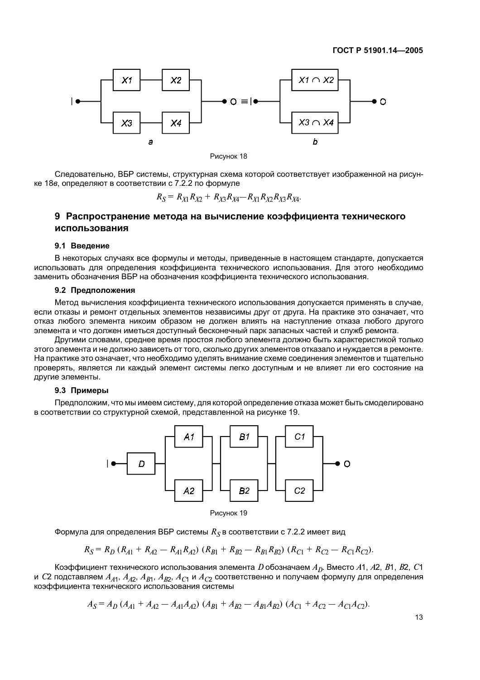

Следовательно, ВБР системы, структурная схема которой соответствует изображенной на рисунке 18 в. определяют в соответствии с 7.2.2 по формуле

$$
R_S = R_{X1}R_{X2} + R_{X3}R_{X4} - R_{X1}R_{X2}R_{X3}R_{X4}.
$$

## 9 Распространение метода на вычисление коэффициента технического использования

#### 9.1 Введение

В некоторых случаях все формулы и методы, приведенные в настоящем стандарте, допускается использовать для определения коэффициента технического использования. Для этого необходимо заменить обозначения ВБР на обозначения коэффициента технического использования.

## 9.2 Предположения

Метод вычисления коэффициента технического использования допускается применять в случае, если отказы и ремонт отдельных элементов независимы друг от друга. На практике это означает, что отказ любого элемента никоим образом не должен влиять на наступление отказа любого другого элемента и что должен иметься доступный бесконечный парк запасных частей и служб ремонта.

Другими словами, среднее время простоя любого элемента должно быть характеристикой только этого элемента и не должно зависеть от того, сколько других элементов отказало и нуждается в ремонте. На практике это означает, что необходимо уделять внимание схеме соединения элементов и тщательно проверять, является ли каждый элемент системы легко доступным и не влияет ли его состояние на другие элементы.

#### 9.3 Примеры

Предположим, что мы имеем систему, для которой определение отказа может быть смоделировано в соответствии со структурной схемой, представленной на рисунке 19.



Формула для определения ВБР системы  $R_S$ в соответствии с 7.2.2 имеет вид

$$
R_S = R_D (R_{A1} + R_{A2} - R_{A1} R_{A2}) (R_{B1} + R_{B2} - R_{B1} R_{B2}) (R_{C1} + R_{C2} - R_{C1} R_{C2}).
$$

Коэффициент технического использования элемента D обозначаем  $A<sub>D</sub>$ . Вместо A1, A2, B1, B2, C1 и С2 подставляем  $A_{A1}$ ,  $A_{A2}$ ,  $A_{B1}$ ,  $A_{B2}$ ,  $A_{C1}$  и  $A_{C2}$  соответственно и получаем формулу для определения коэффициента технического использования системы

$$
A_S = A_D (A_{A1} + A_{A2} - A_{A1}A_{A2}) (A_{B1} + A_{B2} - A_{B1}A_{B2}) (A_{C1} + A_{C2} - A_{C1}A_{C2}).
$$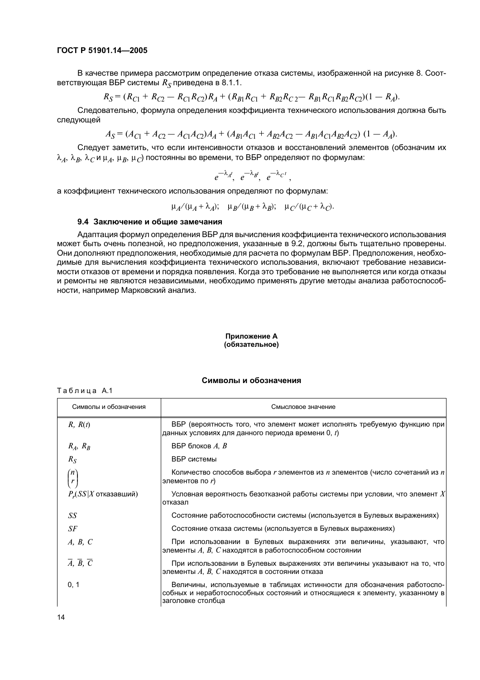## FOCT P 51901.14-2005

В качестве примера рассмотрим определение отказа системы, изображенной на рисунке 8. Соответствующая ВБР системы  $R_s$  приведена в 8.1.1.

$$
R_S = (R_{C1} + R_{C2} - R_{C1}R_{C2})R_A + (R_{B1}R_{C1} + R_{B2}R_{C2} - R_{B1}R_{C1}R_{B2}R_{C2})(1 - R_A).
$$

Следовательно, формула определения коэффициента технического использования должна быть следующей

 $A_S = (A_{C1} + A_{C2} - A_{C1}A_{C2})A_A + (A_{R1}A_{C1} + A_{R2}A_{C2} - A_{R1}A_{C1}A_{R2}A_{C2}) (1 - A_A).$ 

Следует заметить, что если интенсивности отказов и восстановлений элементов (обозначим их  $\lambda_A$ ,  $\lambda_B$ ,  $\lambda_C$  и  $\mu_A$ ,  $\mu_B$ ,  $\mu_C$ ) постоянны во времени, то ВБР определяют по формулам:

$$
e^{-\lambda_{A^t}}\!,\,e^{-\lambda_{B^t}}\!,\,e^{-\lambda_{C^t}}\!,
$$

а коэффициент технического использования определяют по формулам:

$$
\mu_A/(\mu_A + \lambda_A); \quad \mu_B/(\mu_B + \lambda_B); \quad \mu_C/(\mu_C + \lambda_C).
$$

#### 9.4 Заключение и общие замечания

Адаптация формул определения ВБР для вычисления коэффициента технического использования может быть очень полезной, но предположения, указанные в 9.2, должны быть тщательно проверены. Они дополняют предположения, необходимые для расчета по формулам ВБР. Предположения, необходимые для вычисления коэффициента технического использования, включают требование независимости отказов от времени и порядка появления. Когда это требование не выполняется или когда отказы и ремонты не являются независимыми, необходимо применять другие методы анализа работоспособности, например Марковский анализ.

#### Приложение А (обязательное)

#### Символы и обозначения

| Символы и обозначения                            | Смысловое значение                                                                                                                                                          |
|--------------------------------------------------|-----------------------------------------------------------------------------------------------------------------------------------------------------------------------------|
| R, R(t)                                          | ВБР (вероятность того, что элемент может исполнять требуемую функцию при<br>данных условиях для данного периода времени 0, t)                                               |
| $R_A$ , $R_B$                                    | ВБР блоков $A, B$                                                                                                                                                           |
| $R_{S}$                                          | ВБР системы                                                                                                                                                                 |
| n<br>$\boldsymbol{r}$                            | Количество способов выбора r элементов из n элементов (число сочетаний из n<br>элементов по r)                                                                              |
| $P_r(SS X)$ отказавший)                          | Условная вероятность безотказной работы системы при условии, что элемент $X$<br>отказал                                                                                     |
| SS                                               | Состояние работоспособности системы (используется в Булевых выражениях)                                                                                                     |
| SF                                               | Состояние отказа системы (используется в Булевых выражениях)                                                                                                                |
| A, B, C                                          | При использовании в Булевых выражениях эти величины, указывают, что<br>элементы $A, B, C$ находятся в работоспособном состоянии                                             |
| $\overline{A}$ , $\overline{B}$ , $\overline{C}$ | При использовании в Булевых выражениях эти величины указывают на то, что<br>элементы $A, B, C$ находятся в состоянии отказа                                                 |
| 0, 1                                             | Величины, используемые в таблицах истинности для обозначения работоспо-<br>собных и неработоспособных состояний и относящиеся к элементу, указанному в<br>заголовке столбца |

Таблица А.1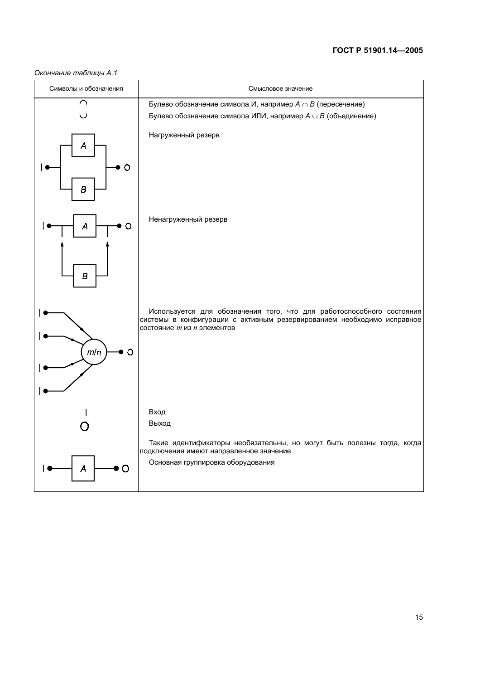#### Окончание таблицы А.1

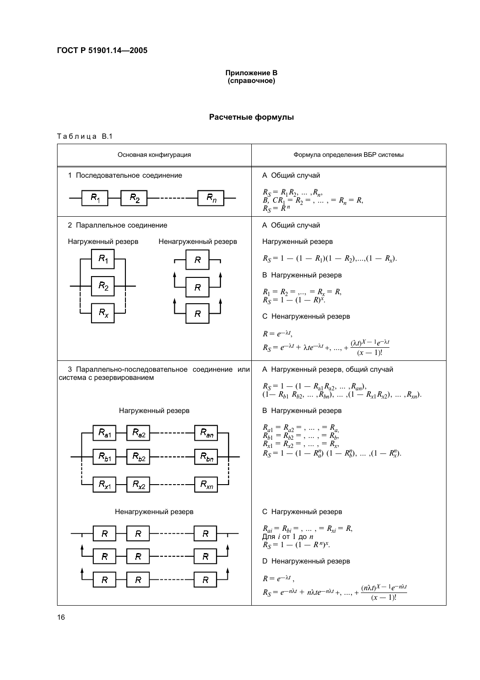#### Приложение В (справочное)

#### Расчетные формулы

#### Таблица В.1

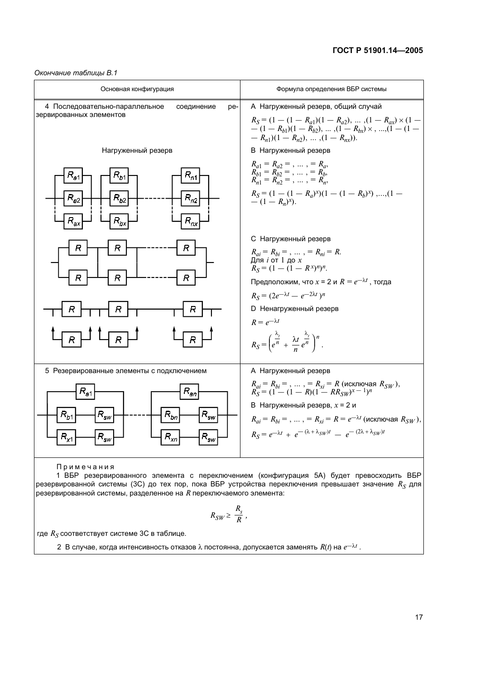Окончание таблицы В.1

| Основная конфигурация                                                                                                                                                                                    | Формула определения ВБР системы                                                                                                                                                                                                                                                                                                                                        |
|----------------------------------------------------------------------------------------------------------------------------------------------------------------------------------------------------------|------------------------------------------------------------------------------------------------------------------------------------------------------------------------------------------------------------------------------------------------------------------------------------------------------------------------------------------------------------------------|
| 4 Последовательно-параллельное<br>соединение<br>pe-<br>зервированных элементов                                                                                                                           | А Нагруженный резерв, общий случай<br>$R_S = (1 - (1 - R_{a1})(1 - R_{a2}), \dots, (1 - R_{ax}) \times (1 -$<br>$- (1 - R_{b1})(1 - R_{b2}), \ldots, (1 - R_{bv}) \times, \ldots, (1 - (1 -$<br>$(R_{n1})(1 - R_{n2}), \ldots, (1 - R_{nr}).$                                                                                                                          |
| Нагруженный резерв                                                                                                                                                                                       | В Нагруженный резерв                                                                                                                                                                                                                                                                                                                                                   |
| $R_{\sf a1}$<br>$\mathsf{R}_{b1}$<br>$R_{n\bar{1}}$<br>$R_{b2}$<br>$R_{n2}$<br>$R_{a2}$<br>$R_{ax}$<br>$R_{bx}$<br>$R_{nx}$                                                                              | $R_{a1} = R_{a2} = , \ldots , = R_{a},$<br>$R_{b1}^{u_1} = R_{b2}^{u_2} = \ldots$ , = $R_{b}^{u_3}$ ,<br>$R_{n1} = R_{n2} = \ldots$ , = $R_{n2}$<br>$R_S = (1 - (1 - R_a)^x)(1 - (1 - R_b)^x)$ ,,(1 - - (1 - R <sub>n</sub> ) <sup>x</sup> ).                                                                                                                          |
| R<br>R<br>R<br>R<br>R<br>$\overline{R}$<br>R<br>R<br>$\overline{R}$                                                                                                                                      | С Нагруженный резерв<br>$R_{ai} = R_{bi} = , \ldots , = R_{ni} = R.$<br>Для і от 1 до х<br>$R_S = (1 - (1 - R^x)^n)^n$ .<br>Предположим, что $x = 2$ и $R = e^{-\lambda t}$ , тогда<br>$R_S = (2e^{-\lambda t} - e^{-2\lambda t})^n$<br><b>D</b> Ненагруженный резерв<br>$R = e^{-\lambda t}$<br>$R_S = \left(\frac{\lambda_t}{e^n} + \frac{\lambda_t}{e^n}\right)^n.$ |
| 5 Резервированные элементы с подключением<br>$R_{an}$<br>$R_{\rm a1}$<br>$R_{\rm sw}$<br>$R_{\rm sw}$<br>$R_{b1}$<br>$R_{bn}$<br>$\mathsf{R}_{\mathsf{sw}}$<br>$R^{\,}_{\rm sw}$<br>$R_{xn}$<br>$R_{x1}$ | А Нагруженный резерв<br>$R_{ai} = R_{bi} =$ , , = $R_{xi} = R$ (исключая $R_{SW}$ ),<br>$R_S = (1 - (1 - R)(1 - RR_{SW})^{x-1})^n$<br>В Нагруженный резерв, $x = 2$ и<br>$R_{ai} = R_{bi} =$ , , = $R_{xi} = R = e^{-\lambda t}$ (исключая $R_{SW}$ ),<br>$R_S = e^{-\lambda t} + e^{-(\lambda + \lambda_{SW})t} - e^{-(2\lambda + \lambda_{SW})t}$                    |
|                                                                                                                                                                                                          |                                                                                                                                                                                                                                                                                                                                                                        |

Примечания

 $\begin{pmatrix} 0 & 0 & 0 & 0 \\ 0 & 0 & 0 & 0 \\ 0 & 0 & 0 & 0 \\ 0 & 0 & 0 & 0 \\ 0 & 0 & 0 & 0 \\ 0 & 0 & 0 & 0 \\ 0 & 0 & 0 & 0 \\ 0 & 0 & 0 & 0 \\ 0 & 0 & 0 & 0 \\ 0 & 0 & 0 & 0 \\ 0 & 0 & 0 & 0 \\ 0 & 0 & 0 & 0 \\ 0 & 0 & 0 & 0 \\ 0 & 0 & 0 & 0 \\ 0 & 0 & 0 & 0 \\ 0 & 0 & 0 & 0 \\ 0 & 0 & 0 & 0 \\ 0 & 0 & 0 &$ 

$$
R_{SW} \geq \frac{R_s}{R},
$$

где  $R_S$  соответствует системе 3С в таблице.

2 В случае, когда интенсивность отказов  $\lambda$  постоянна, допускается заменять  $R(t)$  на  $e^{-\lambda t}$ .